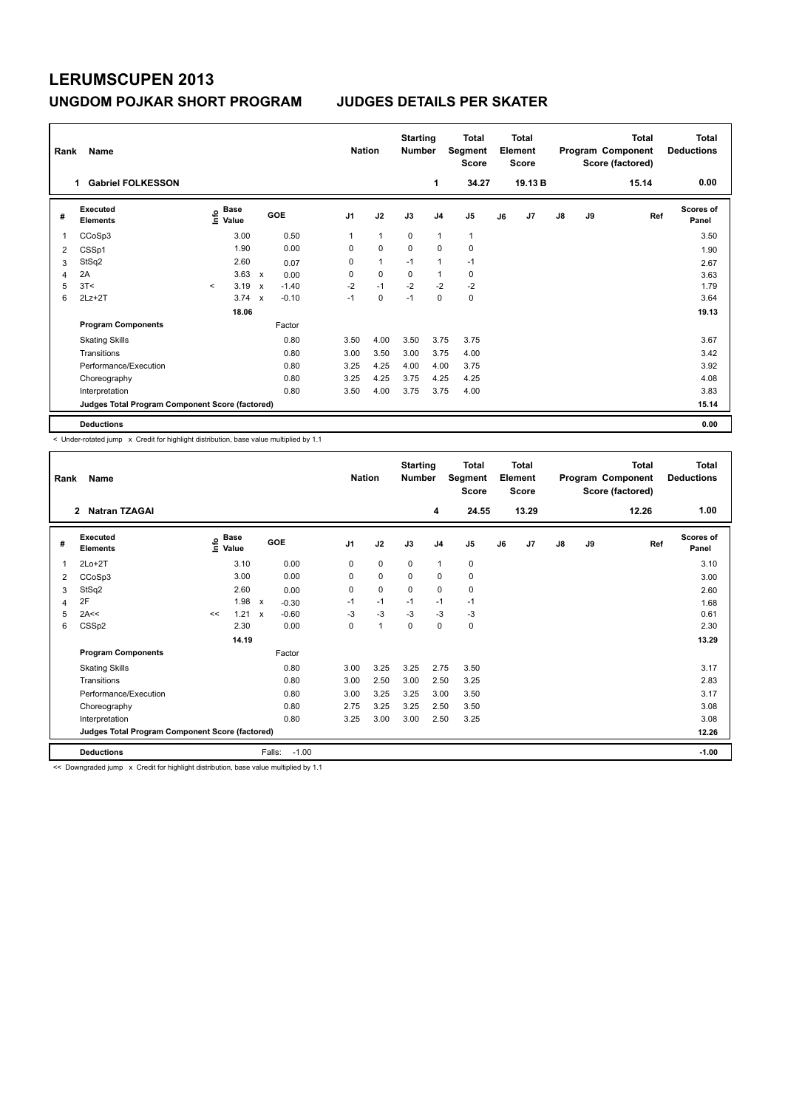## **LERUMSCUPEN 2013 UNGDOM POJKAR SHORT PROGRAM JUDGES DETAILS PER SKATER**

| Rank<br>Name |                                                 |         |                      |                           |            |                | <b>Nation</b> |          | <b>Starting</b><br><b>Number</b> | Total<br>Segment<br><b>Score</b> | <b>Total</b><br>Element<br><b>Score</b> |         | Program Component |           | <b>Total</b><br>Score (factored) | <b>Total</b><br><b>Deductions</b> |
|--------------|-------------------------------------------------|---------|----------------------|---------------------------|------------|----------------|---------------|----------|----------------------------------|----------------------------------|-----------------------------------------|---------|-------------------|-----------|----------------------------------|-----------------------------------|
|              | <b>Gabriel FOLKESSON</b><br>1                   |         |                      |                           |            |                |               |          | 1                                | 34.27                            |                                         | 19.13 B |                   |           | 15.14                            | 0.00                              |
| #            | Executed<br><b>Elements</b>                     | lnfo    | <b>Base</b><br>Value |                           | <b>GOE</b> | J <sub>1</sub> | J2            | J3       | J <sub>4</sub>                   | J <sub>5</sub>                   | J6                                      | J7      | $\mathsf{J}8$     | <b>J9</b> | Ref                              | <b>Scores of</b><br>Panel         |
| 1            | CCoSp3                                          |         | 3.00                 |                           | 0.50       | 1              | $\mathbf{1}$  | 0        | $\overline{1}$                   | $\mathbf{1}$                     |                                         |         |                   |           |                                  | 3.50                              |
| 2            | CSSp1                                           |         | 1.90                 |                           | 0.00       | 0              | $\mathbf 0$   | $\Omega$ | $\mathbf 0$                      | $\mathbf 0$                      |                                         |         |                   |           |                                  | 1.90                              |
| 3            | StSq2                                           |         | 2.60                 |                           | 0.07       | 0              | $\mathbf{1}$  | $-1$     | $\overline{1}$                   | $-1$                             |                                         |         |                   |           |                                  | 2.67                              |
| 4            | 2A                                              |         | 3.63                 | $\boldsymbol{\mathsf{x}}$ | 0.00       | 0              | $\mathbf 0$   | 0        | $\mathbf{1}$                     | 0                                |                                         |         |                   |           |                                  | 3.63                              |
| 5            | 3T<                                             | $\prec$ | 3.19                 | $\boldsymbol{\mathsf{x}}$ | $-1.40$    | $-2$           | $-1$          | $-2$     | $-2$                             | $-2$                             |                                         |         |                   |           |                                  | 1.79                              |
| 6            | $2Lz + 2T$                                      |         | 3.74                 | $\mathbf x$               | $-0.10$    | $-1$           | $\Omega$      | $-1$     | $\Omega$                         | $\pmb{0}$                        |                                         |         |                   |           |                                  | 3.64                              |
|              |                                                 |         | 18.06                |                           |            |                |               |          |                                  |                                  |                                         |         |                   |           |                                  | 19.13                             |
|              | <b>Program Components</b>                       |         |                      |                           | Factor     |                |               |          |                                  |                                  |                                         |         |                   |           |                                  |                                   |
|              | <b>Skating Skills</b>                           |         |                      |                           | 0.80       | 3.50           | 4.00          | 3.50     | 3.75                             | 3.75                             |                                         |         |                   |           |                                  | 3.67                              |
|              | Transitions                                     |         |                      |                           | 0.80       | 3.00           | 3.50          | 3.00     | 3.75                             | 4.00                             |                                         |         |                   |           |                                  | 3.42                              |
|              | Performance/Execution                           |         |                      |                           | 0.80       | 3.25           | 4.25          | 4.00     | 4.00                             | 3.75                             |                                         |         |                   |           |                                  | 3.92                              |
|              | Choreography                                    |         |                      |                           | 0.80       | 3.25           | 4.25          | 3.75     | 4.25                             | 4.25                             |                                         |         |                   |           |                                  | 4.08                              |
|              | Interpretation                                  |         |                      |                           | 0.80       | 3.50           | 4.00          | 3.75     | 3.75                             | 4.00                             |                                         |         |                   |           |                                  | 3.83                              |
|              | Judges Total Program Component Score (factored) |         |                      |                           |            |                |               |          |                                  |                                  |                                         |         |                   |           |                                  | 15.14                             |
|              | <b>Deductions</b>                               |         |                      |                           |            |                |               |          |                                  |                                  |                                         |         |                   |           |                                  | 0.00                              |

< Under-rotated jump x Credit for highlight distribution, base value multiplied by 1.1

| Rank | Name                                            |    |                        |              |         | <b>Nation</b>  |             | <b>Starting</b><br><b>Number</b> |                | <b>Total</b><br>Segment<br><b>Score</b> |    | <b>Total</b><br>Element<br><b>Score</b> |               |    | <b>Total</b><br>Program Component<br>Score (factored) | <b>Total</b><br><b>Deductions</b> |
|------|-------------------------------------------------|----|------------------------|--------------|---------|----------------|-------------|----------------------------------|----------------|-----------------------------------------|----|-----------------------------------------|---------------|----|-------------------------------------------------------|-----------------------------------|
|      | <b>Natran TZAGAI</b><br>$\mathbf{2}$            |    |                        |              |         |                |             |                                  | 4              | 24.55                                   |    | 13.29                                   |               |    | 12.26                                                 | 1.00                              |
| #    | Executed<br><b>Elements</b>                     |    | $\sum_{i=1}^{n}$ Value |              | GOE     | J <sub>1</sub> | J2          | J3                               | J <sub>4</sub> | J <sub>5</sub>                          | J6 | J <sub>7</sub>                          | $\mathsf{J}8$ | J9 | Ref                                                   | <b>Scores of</b><br>Panel         |
| 1    | $2Lo+2T$                                        |    | 3.10                   |              | 0.00    | 0              | $\mathbf 0$ | $\mathbf 0$                      | $\mathbf{1}$   | 0                                       |    |                                         |               |    |                                                       | 3.10                              |
| 2    | CCoSp3                                          |    | 3.00                   |              | 0.00    | 0              | $\mathbf 0$ | 0                                | 0              | 0                                       |    |                                         |               |    |                                                       | 3.00                              |
| 3    | StSq2                                           |    | 2.60                   |              | 0.00    | 0              | 0           | 0                                | 0              | 0                                       |    |                                         |               |    |                                                       | 2.60                              |
| 4    | 2F                                              |    | 1.98                   | $\mathsf{x}$ | $-0.30$ | $-1$           | $-1$        | $-1$                             | $-1$           | $-1$                                    |    |                                         |               |    |                                                       | 1.68                              |
| 5    | 2A<<                                            | << | 1.21                   | $\mathsf{x}$ | $-0.60$ | $-3$           | $-3$        | $-3$                             | $-3$           | $-3$                                    |    |                                         |               |    |                                                       | 0.61                              |
| 6    | CSSp2                                           |    | 2.30                   |              | 0.00    | 0              | 1           | 0                                | 0              | 0                                       |    |                                         |               |    |                                                       | 2.30                              |
|      |                                                 |    | 14.19                  |              |         |                |             |                                  |                |                                         |    |                                         |               |    |                                                       | 13.29                             |
|      | <b>Program Components</b>                       |    |                        |              | Factor  |                |             |                                  |                |                                         |    |                                         |               |    |                                                       |                                   |
|      | <b>Skating Skills</b>                           |    |                        |              | 0.80    | 3.00           | 3.25        | 3.25                             | 2.75           | 3.50                                    |    |                                         |               |    |                                                       | 3.17                              |
|      | Transitions                                     |    |                        |              | 0.80    | 3.00           | 2.50        | 3.00                             | 2.50           | 3.25                                    |    |                                         |               |    |                                                       | 2.83                              |
|      | Performance/Execution                           |    |                        |              | 0.80    | 3.00           | 3.25        | 3.25                             | 3.00           | 3.50                                    |    |                                         |               |    |                                                       | 3.17                              |
|      | Choreography                                    |    |                        |              | 0.80    | 2.75           | 3.25        | 3.25                             | 2.50           | 3.50                                    |    |                                         |               |    |                                                       | 3.08                              |
|      | Interpretation                                  |    |                        |              | 0.80    | 3.25           | 3.00        | 3.00                             | 2.50           | 3.25                                    |    |                                         |               |    |                                                       | 3.08                              |
|      | Judges Total Program Component Score (factored) |    |                        |              |         |                |             |                                  |                |                                         |    |                                         |               |    |                                                       | 12.26                             |
|      | <b>Deductions</b>                               |    |                        | Falls:       | $-1.00$ |                |             |                                  |                |                                         |    |                                         |               |    |                                                       | $-1.00$                           |

<< Downgraded jump x Credit for highlight distribution, base value multiplied by 1.1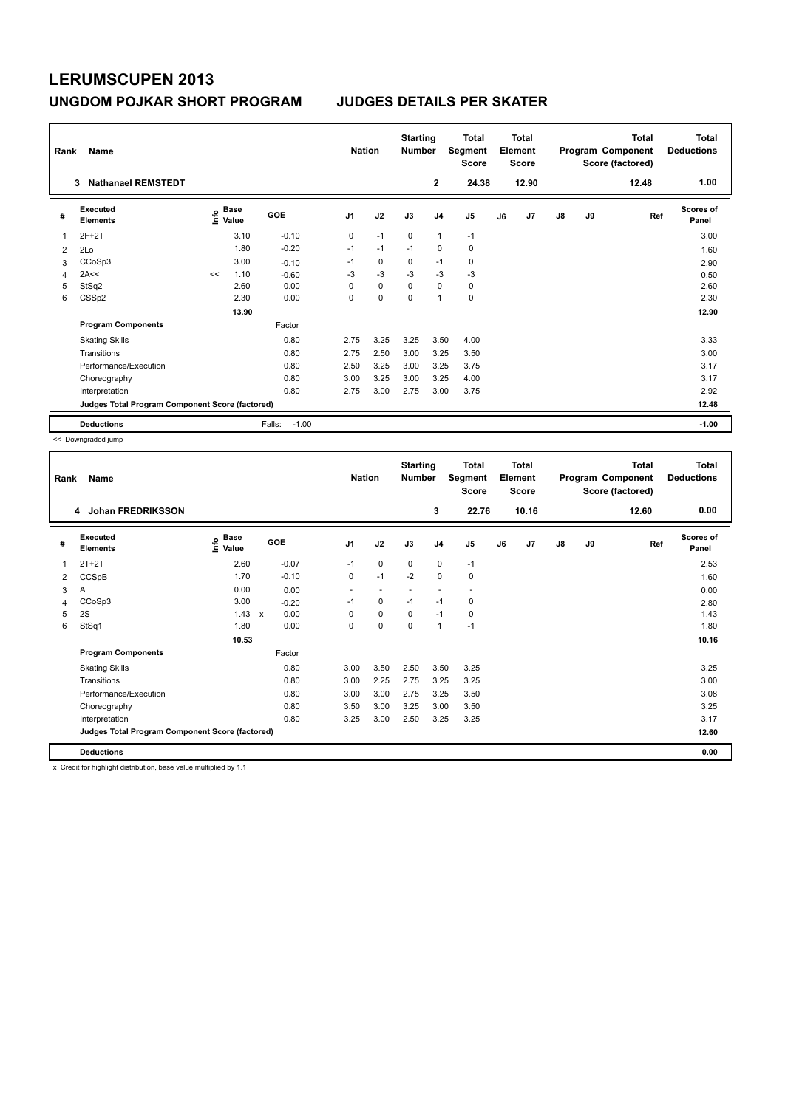## **LERUMSCUPEN 2013 UNGDOM POJKAR SHORT PROGRAM JUDGES DETAILS PER SKATER**

| Name<br>Rank |                                                 |    |                                             |                   |                | <b>Nation</b> |          | <b>Starting</b><br><b>Number</b> | <b>Total</b><br>Segment<br><b>Score</b> | <b>Total</b><br>Element<br><b>Score</b> |       | Program Component |           | <b>Total</b><br>Score (factored) | <b>Total</b><br><b>Deductions</b> |
|--------------|-------------------------------------------------|----|---------------------------------------------|-------------------|----------------|---------------|----------|----------------------------------|-----------------------------------------|-----------------------------------------|-------|-------------------|-----------|----------------------------------|-----------------------------------|
|              | <b>Nathanael REMSTEDT</b><br>3                  |    |                                             |                   |                |               |          | $\mathbf{2}$                     | 24.38                                   |                                         | 12.90 |                   |           | 12.48                            | 1.00                              |
| #            | Executed<br><b>Elements</b>                     |    | <b>Base</b><br>e <sup>Base</sup><br>⊆ Value | GOE               | J <sub>1</sub> | J2            | J3       | J <sub>4</sub>                   | J <sub>5</sub>                          | J6                                      | J7    | $\mathsf{J}8$     | <b>J9</b> | Ref                              | <b>Scores of</b><br>Panel         |
| 1            | $2F+2T$                                         |    | 3.10                                        | $-0.10$           | 0              | $-1$          | $\Omega$ | $\overline{1}$                   | $-1$                                    |                                         |       |                   |           |                                  | 3.00                              |
| 2            | 2Lo                                             |    | 1.80                                        | $-0.20$           | $-1$           | $-1$          | $-1$     | $\mathbf 0$                      | $\mathbf 0$                             |                                         |       |                   |           |                                  | 1.60                              |
| 3            | CCoSp3                                          |    | 3.00                                        | $-0.10$           | $-1$           | 0             | 0        | $-1$                             | 0                                       |                                         |       |                   |           |                                  | 2.90                              |
| 4            | 2A<<                                            | << | 1.10                                        | $-0.60$           | $-3$           | $-3$          | $-3$     | $-3$                             | $-3$                                    |                                         |       |                   |           |                                  | 0.50                              |
| 5            | StSq2                                           |    | 2.60                                        | 0.00              | 0              | $\mathbf 0$   | $\Omega$ | $\mathbf 0$                      | $\pmb{0}$                               |                                         |       |                   |           |                                  | 2.60                              |
| 6            | CSSp2                                           |    | 2.30                                        | 0.00              | 0              | 0             | 0        | 1                                | $\pmb{0}$                               |                                         |       |                   |           |                                  | 2.30                              |
|              |                                                 |    | 13.90                                       |                   |                |               |          |                                  |                                         |                                         |       |                   |           |                                  | 12.90                             |
|              | <b>Program Components</b>                       |    |                                             | Factor            |                |               |          |                                  |                                         |                                         |       |                   |           |                                  |                                   |
|              | <b>Skating Skills</b>                           |    |                                             | 0.80              | 2.75           | 3.25          | 3.25     | 3.50                             | 4.00                                    |                                         |       |                   |           |                                  | 3.33                              |
|              | Transitions                                     |    |                                             | 0.80              | 2.75           | 2.50          | 3.00     | 3.25                             | 3.50                                    |                                         |       |                   |           |                                  | 3.00                              |
|              | Performance/Execution                           |    |                                             | 0.80              | 2.50           | 3.25          | 3.00     | 3.25                             | 3.75                                    |                                         |       |                   |           |                                  | 3.17                              |
|              | Choreography                                    |    |                                             | 0.80              | 3.00           | 3.25          | 3.00     | 3.25                             | 4.00                                    |                                         |       |                   |           |                                  | 3.17                              |
|              | Interpretation                                  |    |                                             | 0.80              | 2.75           | 3.00          | 2.75     | 3.00                             | 3.75                                    |                                         |       |                   |           |                                  | 2.92                              |
|              | Judges Total Program Component Score (factored) |    |                                             |                   |                |               |          |                                  |                                         |                                         |       |                   |           |                                  | 12.48                             |
|              | <b>Deductions</b>                               |    |                                             | $-1.00$<br>Falls: |                |               |          |                                  |                                         |                                         |       |                   |           |                                  | $-1.00$                           |

<< Downgraded jump

| Rank           | Name                                            |                       |                      | <b>Nation</b>  |                          | <b>Starting</b><br><b>Number</b> |                          | <b>Total</b><br>Segment<br><b>Score</b> |    | Total<br>Element<br><b>Score</b> |    |    | <b>Total</b><br>Program Component<br>Score (factored) | <b>Total</b><br><b>Deductions</b> |
|----------------|-------------------------------------------------|-----------------------|----------------------|----------------|--------------------------|----------------------------------|--------------------------|-----------------------------------------|----|----------------------------------|----|----|-------------------------------------------------------|-----------------------------------|
|                | Johan FREDRIKSSON<br>4                          |                       |                      |                |                          |                                  | 3                        | 22.76                                   |    | 10.16                            |    |    | 12.60                                                 | 0.00                              |
| #              | <b>Executed</b><br><b>Elements</b>              | $\sum_{i=1}^{n}$ Base | GOE                  | J <sub>1</sub> | J2                       | J3                               | J <sub>4</sub>           | J <sub>5</sub>                          | J6 | J7                               | J8 | J9 | Ref                                                   | <b>Scores of</b><br>Panel         |
| 1              | $2T+2T$                                         | 2.60                  | $-0.07$              | $-1$           | $\mathbf 0$              | 0                                | 0                        | $-1$                                    |    |                                  |    |    |                                                       | 2.53                              |
| $\overline{2}$ | CCSpB                                           | 1.70                  | $-0.10$              | 0              | $-1$                     | $-2$                             | 0                        | 0                                       |    |                                  |    |    |                                                       | 1.60                              |
| 3              | Α                                               | 0.00                  | 0.00                 | $\sim$         | $\overline{\phantom{a}}$ | $\overline{\phantom{a}}$         | $\overline{\phantom{a}}$ | $\sim$                                  |    |                                  |    |    |                                                       | 0.00                              |
| 4              | CCoSp3                                          | 3.00                  | $-0.20$              | $-1$           | $\mathbf 0$              | $-1$                             | $-1$                     | 0                                       |    |                                  |    |    |                                                       | 2.80                              |
| 5              | 2S                                              | 1.43                  | 0.00<br>$\mathsf{x}$ | $\Omega$       | 0                        | 0                                | $-1$                     | 0                                       |    |                                  |    |    |                                                       | 1.43                              |
| 6              | StSq1                                           | 1.80                  | 0.00                 | 0              | $\pmb{0}$                | 0                                | $\mathbf{1}$             | $-1$                                    |    |                                  |    |    |                                                       | 1.80                              |
|                |                                                 | 10.53                 |                      |                |                          |                                  |                          |                                         |    |                                  |    |    |                                                       | 10.16                             |
|                | <b>Program Components</b>                       |                       | Factor               |                |                          |                                  |                          |                                         |    |                                  |    |    |                                                       |                                   |
|                | <b>Skating Skills</b>                           |                       | 0.80                 | 3.00           | 3.50                     | 2.50                             | 3.50                     | 3.25                                    |    |                                  |    |    |                                                       | 3.25                              |
|                | Transitions                                     |                       | 0.80                 | 3.00           | 2.25                     | 2.75                             | 3.25                     | 3.25                                    |    |                                  |    |    |                                                       | 3.00                              |
|                | Performance/Execution                           |                       | 0.80                 | 3.00           | 3.00                     | 2.75                             | 3.25                     | 3.50                                    |    |                                  |    |    |                                                       | 3.08                              |
|                | Choreography                                    |                       | 0.80                 | 3.50           | 3.00                     | 3.25                             | 3.00                     | 3.50                                    |    |                                  |    |    |                                                       | 3.25                              |
|                | Interpretation                                  |                       | 0.80                 | 3.25           | 3.00                     | 2.50                             | 3.25                     | 3.25                                    |    |                                  |    |    |                                                       | 3.17                              |
|                | Judges Total Program Component Score (factored) |                       |                      |                |                          |                                  |                          |                                         |    |                                  |    |    |                                                       | 12.60                             |
|                | <b>Deductions</b>                               |                       |                      |                |                          |                                  |                          |                                         |    |                                  |    |    |                                                       | 0.00                              |

x Credit for highlight distribution, base value multiplied by 1.1